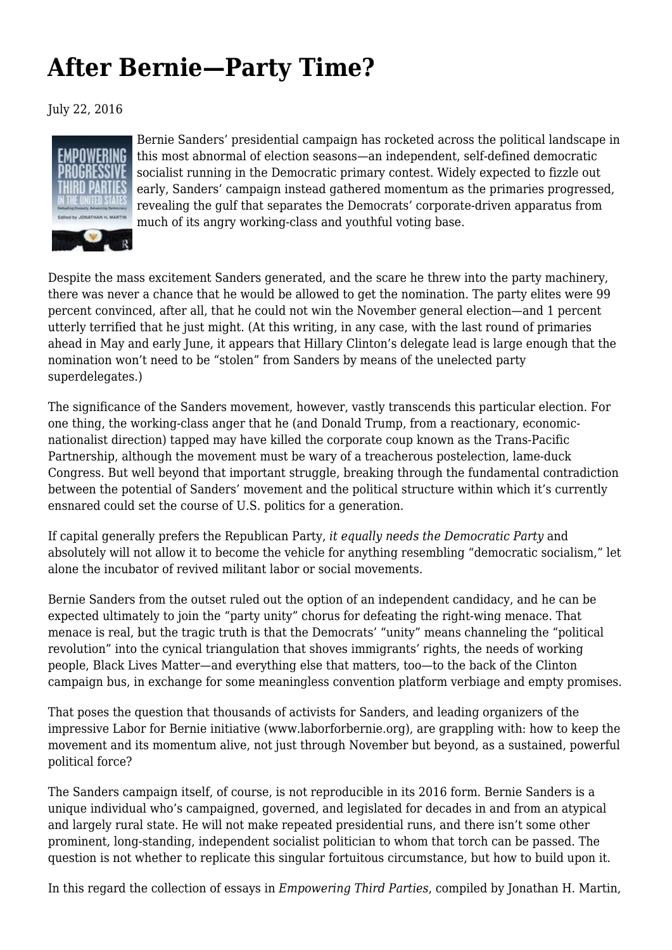## **[After Bernie—Party Time?](https://newpol.org/review/after-bernie-party-time/)**

July 22, 2016



Bernie Sanders' presidential campaign has rocketed across the political landscape in this most abnormal of election seasons—an independent, self-defined democratic socialist running in the Democratic primary contest. Widely expected to fizzle out early, Sanders' campaign instead gathered momentum as the primaries progressed, revealing the gulf that separates the Democrats' corporate-driven apparatus from much of its angry working-class and youthful voting base.

Despite the mass excitement Sanders generated, and the scare he threw into the party machinery, there was never a chance that he would be allowed to get the nomination. The party elites were 99 percent convinced, after all, that he could not win the November general election—and 1 percent utterly terrified that he just might. (At this writing, in any case, with the last round of primaries ahead in May and early June, it appears that Hillary Clinton's delegate lead is large enough that the nomination won't need to be "stolen" from Sanders by means of the unelected party superdelegates.)

The significance of the Sanders movement, however, vastly transcends this particular election. For one thing, the working-class anger that he (and Donald Trump, from a reactionary, economicnationalist direction) tapped may have killed the corporate coup known as the Trans-Pacific Partnership, although the movement must be wary of a treacherous postelection, lame-duck Congress. But well beyond that important struggle, breaking through the fundamental contradiction between the potential of Sanders' movement and the political structure within which it's currently ensnared could set the course of U.S. politics for a generation.

If capital generally prefers the Republican Party, *it equally needs the Democratic Party* and absolutely will not allow it to become the vehicle for anything resembling "democratic socialism," let alone the incubator of revived militant labor or social movements.

Bernie Sanders from the outset ruled out the option of an independent candidacy, and he can be expected ultimately to join the "party unity" chorus for defeating the right-wing menace. That menace is real, but the tragic truth is that the Democrats' "unity" means channeling the "political revolution" into the cynical triangulation that shoves immigrants' rights, the needs of working people, Black Lives Matter—and everything else that matters, too—to the back of the Clinton campaign bus, in exchange for some meaningless convention platform verbiage and empty promises.

That poses the question that thousands of activists for Sanders, and leading organizers of the impressive Labor for Bernie initiative (www.laborforbernie.org), are grappling with: how to keep the movement and its momentum alive, not just through November but beyond, as a sustained, powerful political force?

The Sanders campaign itself, of course, is not reproducible in its 2016 form. Bernie Sanders is a unique individual who's campaigned, governed, and legislated for decades in and from an atypical and largely rural state. He will not make repeated presidential runs, and there isn't some other prominent, long-standing, independent socialist politician to whom that torch can be passed. The question is not whether to replicate this singular fortuitous circumstance, but how to build upon it.

In this regard the collection of essays in *Empowering Third Parties*, compiled by Jonathan H. Martin,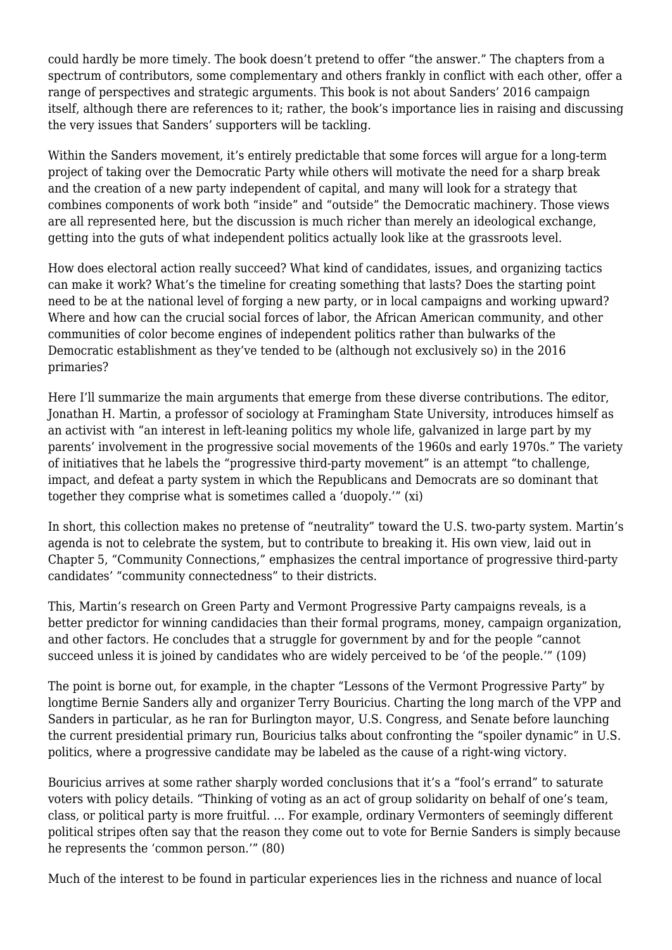could hardly be more timely. The book doesn't pretend to offer "the answer." The chapters from a spectrum of contributors, some complementary and others frankly in conflict with each other, offer a range of perspectives and strategic arguments. This book is not about Sanders' 2016 campaign itself, although there are references to it; rather, the book's importance lies in raising and discussing the very issues that Sanders' supporters will be tackling.

Within the Sanders movement, it's entirely predictable that some forces will argue for a long-term project of taking over the Democratic Party while others will motivate the need for a sharp break and the creation of a new party independent of capital, and many will look for a strategy that combines components of work both "inside" and "outside" the Democratic machinery. Those views are all represented here, but the discussion is much richer than merely an ideological exchange, getting into the guts of what independent politics actually look like at the grassroots level.

How does electoral action really succeed? What kind of candidates, issues, and organizing tactics can make it work? What's the timeline for creating something that lasts? Does the starting point need to be at the national level of forging a new party, or in local campaigns and working upward? Where and how can the crucial social forces of labor, the African American community, and other communities of color become engines of independent politics rather than bulwarks of the Democratic establishment as they've tended to be (although not exclusively so) in the 2016 primaries?

Here I'll summarize the main arguments that emerge from these diverse contributions. The editor, Jonathan H. Martin, a professor of sociology at Framingham State University, introduces himself as an activist with "an interest in left-leaning politics my whole life, galvanized in large part by my parents' involvement in the progressive social movements of the 1960s and early 1970s." The variety of initiatives that he labels the "progressive third-party movement" is an attempt "to challenge, impact, and defeat a party system in which the Republicans and Democrats are so dominant that together they comprise what is sometimes called a 'duopoly.'" (xi)

In short, this collection makes no pretense of "neutrality" toward the U.S. two-party system. Martin's agenda is not to celebrate the system, but to contribute to breaking it. His own view, laid out in Chapter 5, "Community Connections," emphasizes the central importance of progressive third-party candidates' "community connectedness" to their districts.

This, Martin's research on Green Party and Vermont Progressive Party campaigns reveals, is a better predictor for winning candidacies than their formal programs, money, campaign organization, and other factors. He concludes that a struggle for government by and for the people "cannot succeed unless it is joined by candidates who are widely perceived to be 'of the people.'" (109)

The point is borne out, for example, in the chapter "Lessons of the Vermont Progressive Party" by longtime Bernie Sanders ally and organizer Terry Bouricius. Charting the long march of the VPP and Sanders in particular, as he ran for Burlington mayor, U.S. Congress, and Senate before launching the current presidential primary run, Bouricius talks about confronting the "spoiler dynamic" in U.S. politics, where a progressive candidate may be labeled as the cause of a right-wing victory.

Bouricius arrives at some rather sharply worded conclusions that it's a "fool's errand" to saturate voters with policy details. "Thinking of voting as an act of group solidarity on behalf of one's team, class, or political party is more fruitful. … For example, ordinary Vermonters of seemingly different political stripes often say that the reason they come out to vote for Bernie Sanders is simply because he represents the 'common person.'" (80)

Much of the interest to be found in particular experiences lies in the richness and nuance of local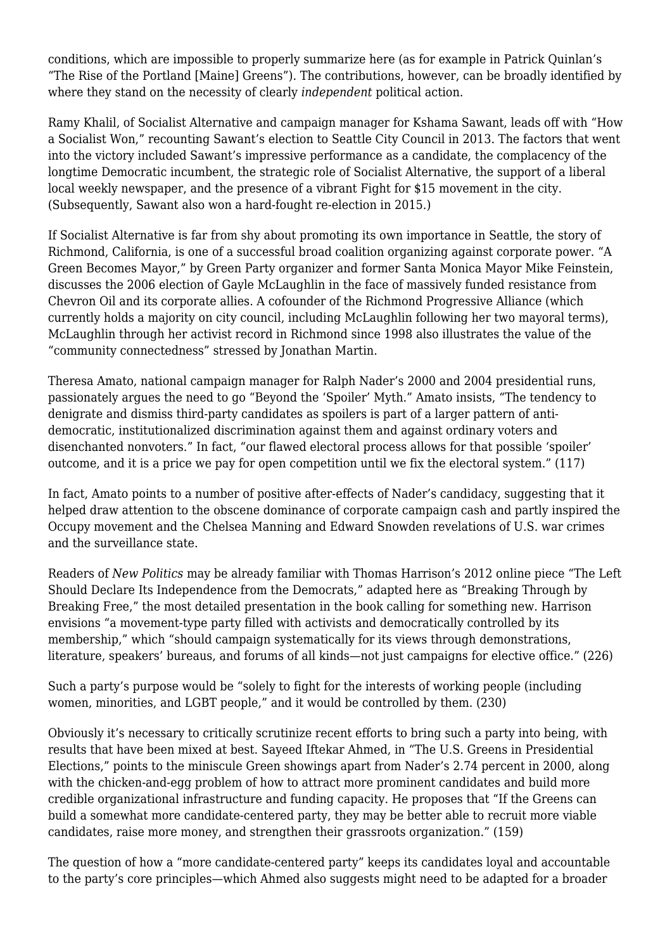conditions, which are impossible to properly summarize here (as for example in Patrick Quinlan's "The Rise of the Portland [Maine] Greens"). The contributions, however, can be broadly identified by where they stand on the necessity of clearly *independent* political action.

Ramy Khalil, of Socialist Alternative and campaign manager for Kshama Sawant, leads off with "How a Socialist Won," recounting Sawant's election to Seattle City Council in 2013. The factors that went into the victory included Sawant's impressive performance as a candidate, the complacency of the longtime Democratic incumbent, the strategic role of Socialist Alternative, the support of a liberal local weekly newspaper, and the presence of a vibrant Fight for \$15 movement in the city. (Subsequently, Sawant also won a hard-fought re-election in 2015.)

If Socialist Alternative is far from shy about promoting its own importance in Seattle, the story of Richmond, California, is one of a successful broad coalition organizing against corporate power. "A Green Becomes Mayor," by Green Party organizer and former Santa Monica Mayor Mike Feinstein, discusses the 2006 election of Gayle McLaughlin in the face of massively funded resistance from Chevron Oil and its corporate allies. A cofounder of the Richmond Progressive Alliance (which currently holds a majority on city council, including McLaughlin following her two mayoral terms), McLaughlin through her activist record in Richmond since 1998 also illustrates the value of the "community connectedness" stressed by Jonathan Martin.

Theresa Amato, national campaign manager for Ralph Nader's 2000 and 2004 presidential runs, passionately argues the need to go "Beyond the 'Spoiler' Myth." Amato insists, "The tendency to denigrate and dismiss third-party candidates as spoilers is part of a larger pattern of antidemocratic, institutionalized discrimination against them and against ordinary voters and disenchanted nonvoters." In fact, "our flawed electoral process allows for that possible 'spoiler' outcome, and it is a price we pay for open competition until we fix the electoral system." (117)

In fact, Amato points to a number of positive after-effects of Nader's candidacy, suggesting that it helped draw attention to the obscene dominance of corporate campaign cash and partly inspired the Occupy movement and the Chelsea Manning and Edward Snowden revelations of U.S. war crimes and the surveillance state.

Readers of *New Politics* may be already familiar with Thomas Harrison's 2012 online piece "The Left Should Declare Its Independence from the Democrats," adapted here as "Breaking Through by Breaking Free," the most detailed presentation in the book calling for something new. Harrison envisions "a movement-type party filled with activists and democratically controlled by its membership," which "should campaign systematically for its views through demonstrations, literature, speakers' bureaus, and forums of all kinds—not just campaigns for elective office." (226)

Such a party's purpose would be "solely to fight for the interests of working people (including women, minorities, and LGBT people," and it would be controlled by them. (230)

Obviously it's necessary to critically scrutinize recent efforts to bring such a party into being, with results that have been mixed at best. Sayeed Iftekar Ahmed, in "The U.S. Greens in Presidential Elections," points to the miniscule Green showings apart from Nader's 2.74 percent in 2000, along with the chicken-and-egg problem of how to attract more prominent candidates and build more credible organizational infrastructure and funding capacity. He proposes that "If the Greens can build a somewhat more candidate-centered party, they may be better able to recruit more viable candidates, raise more money, and strengthen their grassroots organization." (159)

The question of how a "more candidate-centered party" keeps its candidates loyal and accountable to the party's core principles—which Ahmed also suggests might need to be adapted for a broader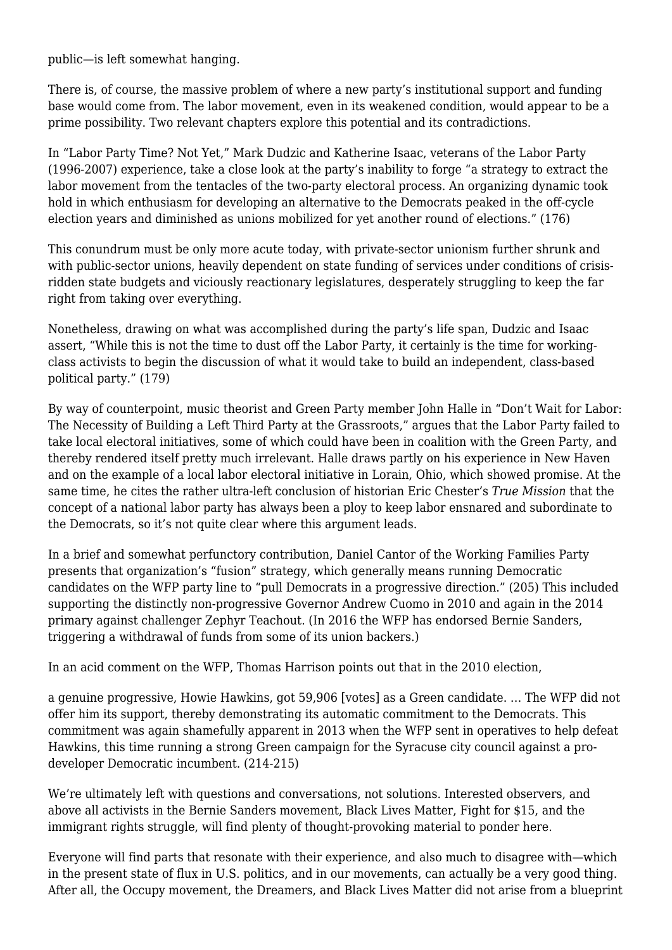public—is left somewhat hanging.

There is, of course, the massive problem of where a new party's institutional support and funding base would come from. The labor movement, even in its weakened condition, would appear to be a prime possibility. Two relevant chapters explore this potential and its contradictions.

In "Labor Party Time? Not Yet," Mark Dudzic and Katherine Isaac, veterans of the Labor Party (1996-2007) experience, take a close look at the party's inability to forge "a strategy to extract the labor movement from the tentacles of the two-party electoral process. An organizing dynamic took hold in which enthusiasm for developing an alternative to the Democrats peaked in the off-cycle election years and diminished as unions mobilized for yet another round of elections." (176)

This conundrum must be only more acute today, with private-sector unionism further shrunk and with public-sector unions, heavily dependent on state funding of services under conditions of crisisridden state budgets and viciously reactionary legislatures, desperately struggling to keep the far right from taking over everything.

Nonetheless, drawing on what was accomplished during the party's life span, Dudzic and Isaac assert, "While this is not the time to dust off the Labor Party, it certainly is the time for workingclass activists to begin the discussion of what it would take to build an independent, class-based political party." (179)

By way of counterpoint, music theorist and Green Party member John Halle in "Don't Wait for Labor: The Necessity of Building a Left Third Party at the Grassroots," argues that the Labor Party failed to take local electoral initiatives, some of which could have been in coalition with the Green Party, and thereby rendered itself pretty much irrelevant. Halle draws partly on his experience in New Haven and on the example of a local labor electoral initiative in Lorain, Ohio, which showed promise. At the same time, he cites the rather ultra-left conclusion of historian Eric Chester's *True Mission* that the concept of a national labor party has always been a ploy to keep labor ensnared and subordinate to the Democrats, so it's not quite clear where this argument leads.

In a brief and somewhat perfunctory contribution, Daniel Cantor of the Working Families Party presents that organization's "fusion" strategy, which generally means running Democratic candidates on the WFP party line to "pull Democrats in a progressive direction." (205) This included supporting the distinctly non-progressive Governor Andrew Cuomo in 2010 and again in the 2014 primary against challenger Zephyr Teachout. (In 2016 the WFP has endorsed Bernie Sanders, triggering a withdrawal of funds from some of its union backers.)

In an acid comment on the WFP, Thomas Harrison points out that in the 2010 election,

a genuine progressive, Howie Hawkins, got 59,906 [votes] as a Green candidate. … The WFP did not offer him its support, thereby demonstrating its automatic commitment to the Democrats. This commitment was again shamefully apparent in 2013 when the WFP sent in operatives to help defeat Hawkins, this time running a strong Green campaign for the Syracuse city council against a prodeveloper Democratic incumbent. (214-215)

We're ultimately left with questions and conversations, not solutions. Interested observers, and above all activists in the Bernie Sanders movement, Black Lives Matter, Fight for \$15, and the immigrant rights struggle, will find plenty of thought-provoking material to ponder here.

Everyone will find parts that resonate with their experience, and also much to disagree with—which in the present state of flux in U.S. politics, and in our movements, can actually be a very good thing. After all, the Occupy movement, the Dreamers, and Black Lives Matter did not arise from a blueprint